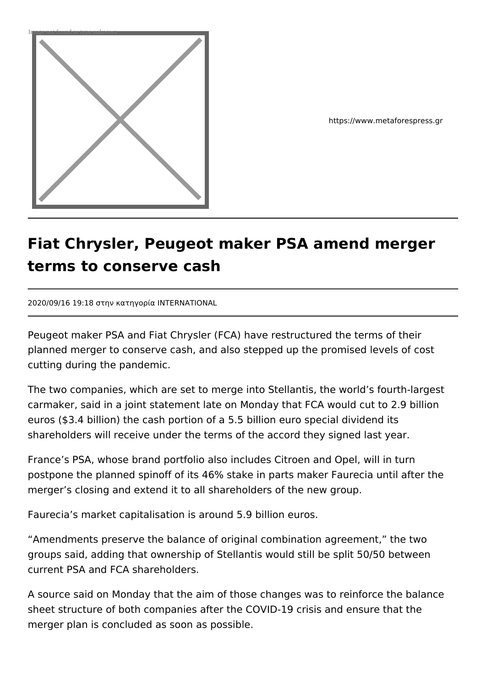

https://www.metaforespress.gr

## **Fiat Chrysler, Peugeot maker PSA amend merger terms to conserve cash**

2020/09/16 19:18 στην κατηγορία INTERNATIONAL

Peugeot maker PSA and Fiat Chrysler (FCA) have restructured the terms of their planned merger to conserve cash, and also stepped up the promised levels of cost cutting during the pandemic.

The two companies, which are set to merge into Stellantis, the world's fourth-largest carmaker, said in a joint statement late on Monday that FCA would cut to 2.9 billion euros (\$3.4 billion) the cash portion of a 5.5 billion euro special dividend its shareholders will receive under the terms of the accord they signed last year.

France's PSA, whose brand portfolio also includes Citroen and Opel, will in turn postpone the planned spinoff of its 46% stake in parts maker Faurecia until after the merger's closing and extend it to all shareholders of the new group.

Faurecia's market capitalisation is around 5.9 billion euros.

"Amendments preserve the balance of original combination agreement," the two groups said, adding that ownership of Stellantis would still be split 50/50 between current PSA and FCA shareholders.

A source said on Monday that the aim of those changes was to reinforce the balance sheet structure of both companies after the COVID-19 crisis and ensure that the merger plan is concluded as soon as possible.